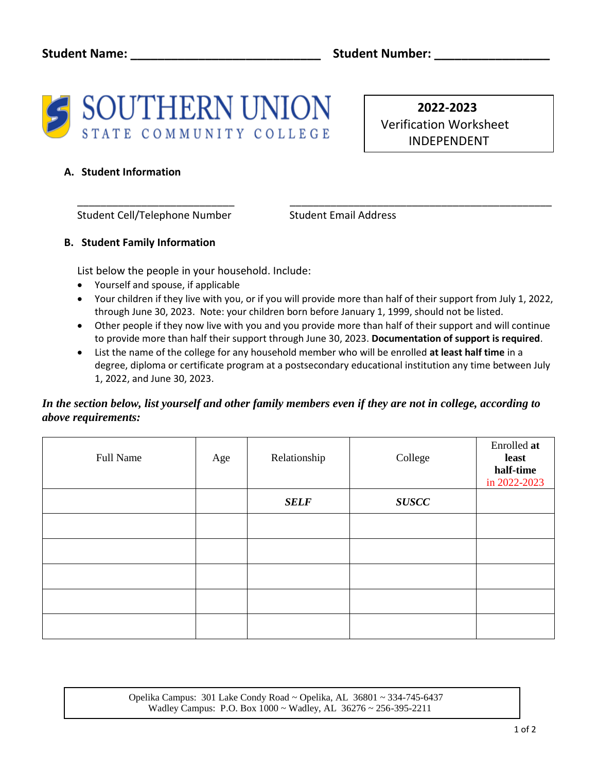

 **2022-2023**  Verification Worksheet INDEPENDENT

### **A. Student Information**

Student Cell/Telephone Number Student Email Address

## **B. Student Family Information**

List below the people in your household. Include:

- Yourself and spouse, if applicable
- Your children if they live with you, or if you will provide more than half of their support from July 1, 2022, through June 30, 2023. Note: your children born before January 1, 1999, should not be listed.

\_\_\_\_\_\_\_\_\_\_\_\_\_\_\_\_\_\_\_\_\_\_\_\_\_\_\_ \_\_\_\_\_\_\_\_\_\_\_\_\_\_\_\_\_\_\_\_\_\_\_\_\_\_\_\_\_\_\_\_\_\_\_\_\_\_\_\_\_\_\_\_\_

- Other people if they now live with you and you provide more than half of their support and will continue to provide more than half their support through June 30, 2023. **Documentation of support is required**.
- List the name of the college for any household member who will be enrolled **at least half time** in a degree, diploma or certificate program at a postsecondary educational institution any time between July 1, 2022, and June 30, 2023.

## *In the section below, list yourself and other family members even if they are not in college, according to above requirements:*

| Full Name | Age | Relationship | College      | Enrolled at<br>least<br>half-time<br>in 2022-2023 |
|-----------|-----|--------------|--------------|---------------------------------------------------|
|           |     | <b>SELF</b>  | <b>SUSCC</b> |                                                   |
|           |     |              |              |                                                   |
|           |     |              |              |                                                   |
|           |     |              |              |                                                   |
|           |     |              |              |                                                   |
|           |     |              |              |                                                   |

 Opelika Campus: 301 Lake Condy Road ~ Opelika, AL 36801 ~ 334-745-6437 Wadley Campus: P.O. Box 1000 ~ Wadley, AL 36276 ~ 256-395-2211